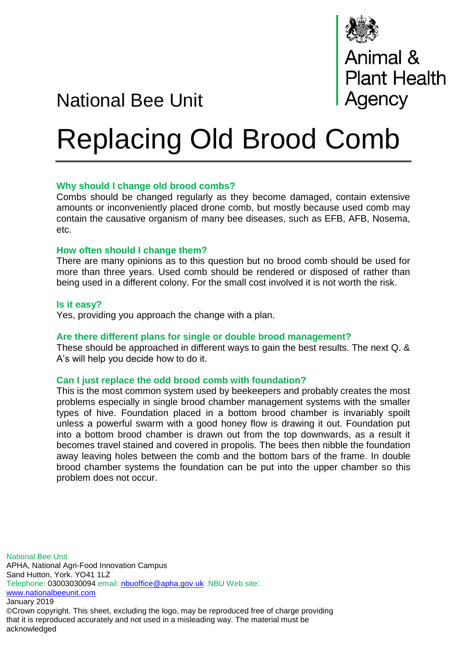

National Bee Unit

# Replacing Old Brood Comb

## **Why should I change old brood combs?**

Combs should be changed regularly as they become damaged, contain extensive amounts or inconveniently placed drone comb, but mostly because used comb may contain the causative organism of many bee diseases, such as EFB, AFB, Nosema, etc.

## **How often should I change them?**

There are many opinions as to this question but no brood comb should be used for more than three years. Used comb should be rendered or disposed of rather than being used in a different colony. For the small cost involved it is not worth the risk.

### **Is it easy?**

Yes, providing you approach the change with a plan.

## **Are there different plans for single or double brood management?**

These should be approached in different ways to gain the best results. The next Q. & A's will help you decide how to do it.

## **Can I just replace the odd brood comb with foundation?**

This is the most common system used by beekeepers and probably creates the most problems especially in single brood chamber management systems with the smaller types of hive. Foundation placed in a bottom brood chamber is invariably spoilt unless a powerful swarm with a good honey flow is drawing it out. Foundation put into a bottom brood chamber is drawn out from the top downwards, as a result it becomes travel stained and covered in propolis. The bees then nibble the foundation away leaving holes between the comb and the bottom bars of the frame. In double brood chamber systems the foundation can be put into the upper chamber so this problem does not occur.

National Bee Unit APHA, National Agri-Food Innovation Campus Sand Hutton, York. YO41 1LZ Telephone: 03003030094 email: [nbuoffice@apha.gov.uk](mailto:nbuoffice@apha.gov.uk) NBU Web site: [www.nationalbeeunit.com](http://www.nationalbeeunit.com/) January 2019 ©Crown copyright. This sheet, excluding the logo, may be reproduced free of charge providing that it is reproduced accurately and not used in a misleading way. The material must be acknowledged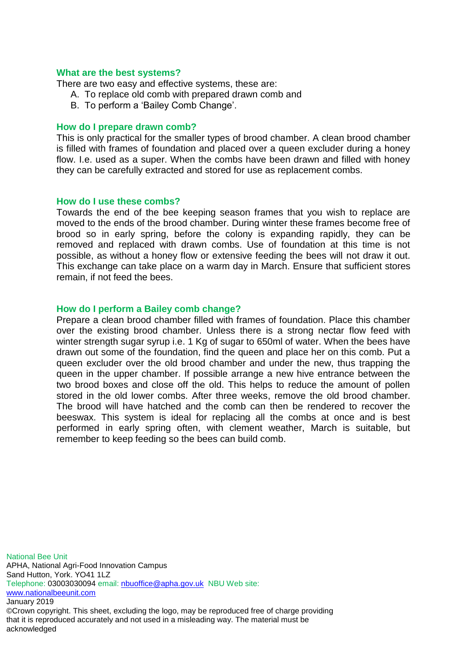## **What are the best systems?**

There are two easy and effective systems, these are:

- A. To replace old comb with prepared drawn comb and
- B. To perform a 'Bailey Comb Change'.

#### **How do I prepare drawn comb?**

This is only practical for the smaller types of brood chamber. A clean brood chamber is filled with frames of foundation and placed over a queen excluder during a honey flow. I.e. used as a super. When the combs have been drawn and filled with honey they can be carefully extracted and stored for use as replacement combs.

#### **How do I use these combs?**

Towards the end of the bee keeping season frames that you wish to replace are moved to the ends of the brood chamber. During winter these frames become free of brood so in early spring, before the colony is expanding rapidly, they can be removed and replaced with drawn combs. Use of foundation at this time is not possible, as without a honey flow or extensive feeding the bees will not draw it out. This exchange can take place on a warm day in March. Ensure that sufficient stores remain, if not feed the bees.

## **How do I perform a Bailey comb change?**

Prepare a clean brood chamber filled with frames of foundation. Place this chamber over the existing brood chamber. Unless there is a strong nectar flow feed with winter strength sugar syrup i.e. 1 Kg of sugar to 650ml of water. When the bees have drawn out some of the foundation, find the queen and place her on this comb. Put a queen excluder over the old brood chamber and under the new, thus trapping the queen in the upper chamber. If possible arrange a new hive entrance between the two brood boxes and close off the old. This helps to reduce the amount of pollen stored in the old lower combs. After three weeks, remove the old brood chamber. The brood will have hatched and the comb can then be rendered to recover the beeswax. This system is ideal for replacing all the combs at once and is best performed in early spring often, with clement weather, March is suitable, but remember to keep feeding so the bees can build comb.

National Bee Unit APHA, National Agri-Food Innovation Campus Sand Hutton, York. YO41 1LZ Telephone: 03003030094 email: [nbuoffice@apha.gov.uk](mailto:nbuoffice@apha.gov.uk) NBU Web site: [www.nationalbeeunit.com](http://www.nationalbeeunit.com/) January 2019 ©Crown copyright. This sheet, excluding the logo, may be reproduced free of charge providing that it is reproduced accurately and not used in a misleading way. The material must be acknowledged